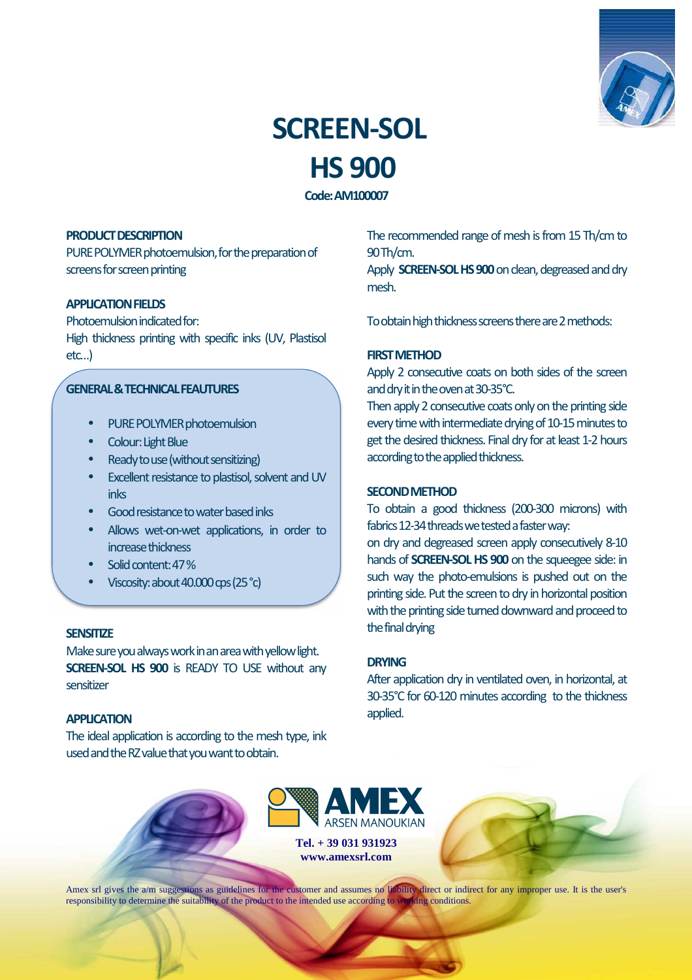

# **SCREEN-SOL HS 900**

**Code: AM100007** 

## **PRODUCT DESCRIPTION**

PURE POLYMER photoemulsion, for the preparation of screens for screen printing

## **APPLICATION FIELDS**

Photoemulsion indicated for: High thickness printing with specific inks (UV, Plastisol etc…)

## **GENERAL & TECHNICAL FEAUTURES**

- PURE POLYMER photoemulsion
- Colour: Light Blue
- Ready to use (without sensitizing)
- Excellent resistance to plastisol, solvent and UV inks
- Good resistance to water based inks
- Allows wet-on-wet applications, in order to increase thickness
- Solid content: 47 %
- Viscosity: about 40.000 cps (25 °c)

#### **SENSITIZE**

Make sure you always work in an area with yellow light. **SCREEN-SOL HS 900** is READY TO USE without any sensitizer

#### **APPLICATION**

The ideal application is according to the mesh type, ink used and the RZ value that you want to obtain.

The recommended range of mesh is from 15 Th/cm to 90 Th/cm.

Apply **SCREEN-SOL HS 900** on clean, degreased and dry mesh.

To obtain high thickness screens there are 2 methods:

# **FIRST METHOD**

Apply 2 consecutive coats on both sides of the screen and dry it in the oven at 30-35°C.

Then apply 2 consecutive coats only on the printing side every time with intermediate drying of 10-15 minutes to get the desired thickness. Final dry for at least 1-2 hours according to the applied thickness.

# **SECOND METHOD**

To obtain a good thickness (200-300 microns) with fabrics 12-34 threads we tested a faster way:

on dry and degreased screen apply consecutively 8-10 hands of **SCREEN-SOL HS 900** on the squeegee side: in such way the photo-emulsions is pushed out on the printing side. Put the screen to dry in horizontal position with the printing side turned downward and proceed to the final drying

## **DRYING**

After application dry in ventilated oven, in horizontal, at 30-35°C for 60-120 minutes according to the thickness applied.



**www.amexsrl.com** 



Amex srl gives the a/m suggestions as guidelines for the customer and assumes no liability direct or indirect for any improper use. It is the user's responsibility to determine the suitability of the product to the intended use according to working conditions.